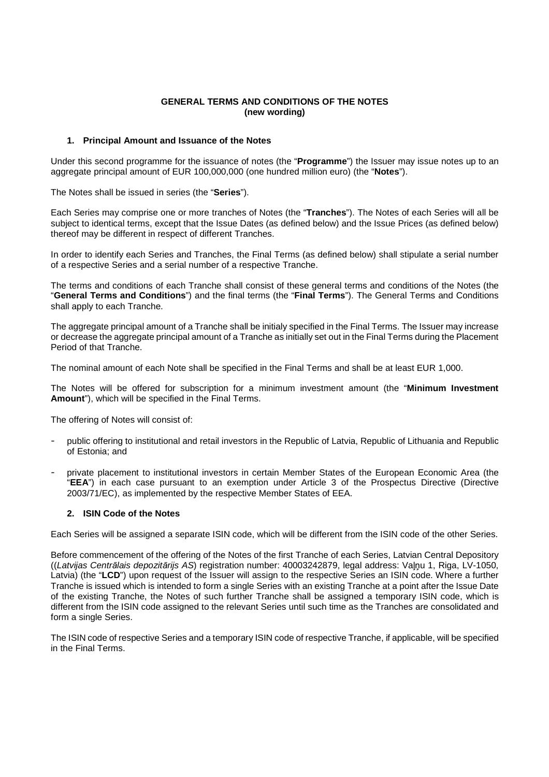# **GENERAL TERMS AND CONDITIONS OF THE NOTES (new wording)**

### **1. Principal Amount and Issuance of the Notes**

Under this second programme for the issuance of notes (the "**Programme**") the Issuer may issue notes up to an aggregate principal amount of EUR 100,000,000 (one hundred million euro) (the "**Notes**").

The Notes shall be issued in series (the "**Series**").

Each Series may comprise one or more tranches of Notes (the "**Tranches**"). The Notes of each Series will all be subject to identical terms, except that the Issue Dates (as defined below) and the Issue Prices (as defined below) thereof may be different in respect of different Tranches.

In order to identify each Series and Tranches, the Final Terms (as defined below) shall stipulate a serial number of a respective Series and a serial number of a respective Tranche.

The terms and conditions of each Tranche shall consist of these general terms and conditions of the Notes (the "**General Terms and Conditions**") and the final terms (the "**Final Terms**"). The General Terms and Conditions shall apply to each Tranche.

The aggregate principal amount of a Tranche shall be initialy specified in the Final Terms. The Issuer may increase or decrease the aggregate principal amount of a Tranche as initially set out in the Final Terms during the Placement Period of that Tranche.

The nominal amount of each Note shall be specified in the Final Terms and shall be at least EUR 1,000.

The Notes will be offered for subscription for a minimum investment amount (the "**Minimum Investment Amount**"), which will be specified in the Final Terms.

The offering of Notes will consist of:

- public offering to institutional and retail investors in the Republic of Latvia, Republic of Lithuania and Republic of Estonia; and
- private placement to institutional investors in certain Member States of the European Economic Area (the "**EEA**") in each case pursuant to an exemption under Article 3 of the Prospectus Directive (Directive 2003/71/EC), as implemented by the respective Member States of EEA.

### **2. ISIN Code of the Notes**

Each Series will be assigned a separate ISIN code, which will be different from the ISIN code of the other Series.

Before commencement of the offering of the Notes of the first Tranche of each Series, Latvian Central Depository ((Latvijas Centr*ā*lais depozit*ā*rijs AS) registration number: 40003242879, legal address: Vaļņu 1, Riga, LV-1050, Latvia) (the "**LCD**") upon request of the Issuer will assign to the respective Series an ISIN code. Where a further Tranche is issued which is intended to form a single Series with an existing Tranche at a point after the Issue Date of the existing Tranche, the Notes of such further Tranche shall be assigned a temporary ISIN code, which is different from the ISIN code assigned to the relevant Series until such time as the Tranches are consolidated and form a single Series.

The ISIN code of respective Series and a temporary ISIN code of respective Tranche, if applicable, will be specified in the Final Terms.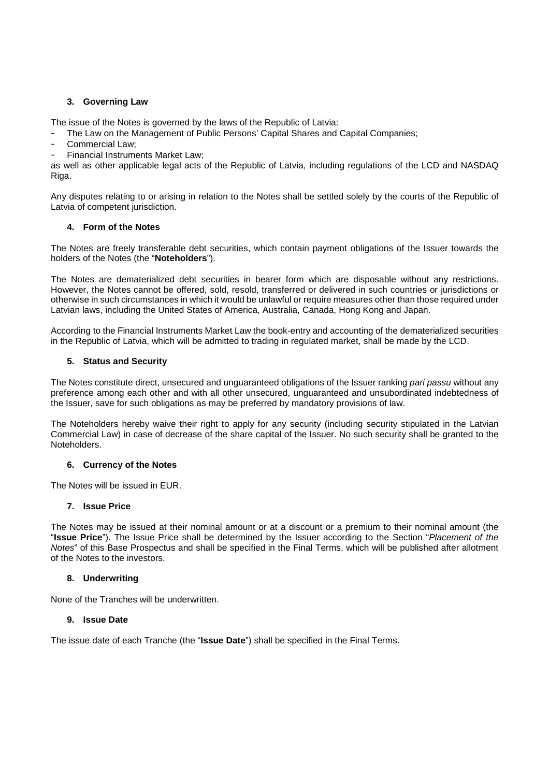# **3. Governing Law**

The issue of the Notes is governed by the laws of the Republic of Latvia:

- The Law on the Management of Public Persons' Capital Shares and Capital Companies;
- Commercial Law;
- Financial Instruments Market Law;

as well as other applicable legal acts of the Republic of Latvia, including regulations of the LCD and NASDAQ Riga.

Any disputes relating to or arising in relation to the Notes shall be settled solely by the courts of the Republic of Latvia of competent jurisdiction.

# **4. Form of the Notes**

The Notes are freely transferable debt securities, which contain payment obligations of the Issuer towards the holders of the Notes (the "**Noteholders**").

The Notes are dematerialized debt securities in bearer form which are disposable without any restrictions. However, the Notes cannot be offered, sold, resold, transferred or delivered in such countries or jurisdictions or otherwise in such circumstances in which it would be unlawful or require measures other than those required under Latvian laws, including the United States of America, Australia, Canada, Hong Kong and Japan.

According to the Financial Instruments Market Law the book-entry and accounting of the dematerialized securities in the Republic of Latvia, which will be admitted to trading in regulated market, shall be made by the LCD.

# **5. Status and Security**

The Notes constitute direct, unsecured and unguaranteed obligations of the Issuer ranking pari passu without any preference among each other and with all other unsecured, unguaranteed and unsubordinated indebtedness of the Issuer, save for such obligations as may be preferred by mandatory provisions of law.

The Noteholders hereby waive their right to apply for any security (including security stipulated in the Latvian Commercial Law) in case of decrease of the share capital of the Issuer. No such security shall be granted to the Noteholders.

### **6. Currency of the Notes**

The Notes will be issued in EUR.

### **7. Issue Price**

The Notes may be issued at their nominal amount or at a discount or a premium to their nominal amount (the "**Issue Price**"). The Issue Price shall be determined by the Issuer according to the Section "Placement of the Notes" of this Base Prospectus and shall be specified in the Final Terms, which will be published after allotment of the Notes to the investors.

### **8. Underwriting**

None of the Tranches will be underwritten.

### **9. Issue Date**

The issue date of each Tranche (the "**Issue Date**") shall be specified in the Final Terms.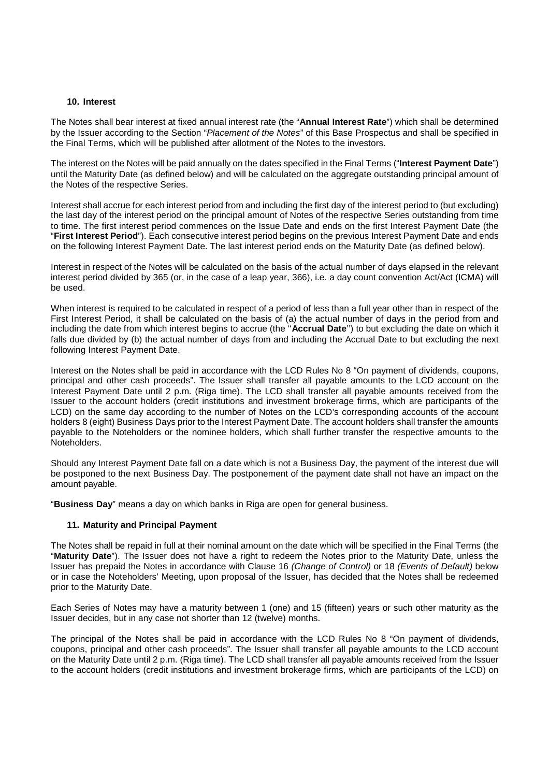#### **10. Interest**

The Notes shall bear interest at fixed annual interest rate (the "**Annual Interest Rate**") which shall be determined by the Issuer according to the Section "Placement of the Notes" of this Base Prospectus and shall be specified in the Final Terms, which will be published after allotment of the Notes to the investors.

The interest on the Notes will be paid annually on the dates specified in the Final Terms ("**Interest Payment Date**") until the Maturity Date (as defined below) and will be calculated on the aggregate outstanding principal amount of the Notes of the respective Series.

Interest shall accrue for each interest period from and including the first day of the interest period to (but excluding) the last day of the interest period on the principal amount of Notes of the respective Series outstanding from time to time. The first interest period commences on the Issue Date and ends on the first Interest Payment Date (the "**First Interest Period**"). Each consecutive interest period begins on the previous Interest Payment Date and ends on the following Interest Payment Date. The last interest period ends on the Maturity Date (as defined below).

Interest in respect of the Notes will be calculated on the basis of the actual number of days elapsed in the relevant interest period divided by 365 (or, in the case of a leap year, 366), i.e. a day count convention Act/Act (ICMA) will be used.

When interest is required to be calculated in respect of a period of less than a full year other than in respect of the First Interest Period, it shall be calculated on the basis of (a) the actual number of days in the period from and including the date from which interest begins to accrue (the ''**Accrual Date**'') to but excluding the date on which it falls due divided by (b) the actual number of days from and including the Accrual Date to but excluding the next following Interest Payment Date.

Interest on the Notes shall be paid in accordance with the LCD Rules No 8 "On payment of dividends, coupons, principal and other cash proceeds". The Issuer shall transfer all payable amounts to the LCD account on the Interest Payment Date until 2 p.m. (Riga time). The LCD shall transfer all payable amounts received from the Issuer to the account holders (credit institutions and investment brokerage firms, which are participants of the LCD) on the same day according to the number of Notes on the LCD's corresponding accounts of the account holders 8 (eight) Business Days prior to the Interest Payment Date. The account holders shall transfer the amounts payable to the Noteholders or the nominee holders, which shall further transfer the respective amounts to the Noteholders.

Should any Interest Payment Date fall on a date which is not a Business Day, the payment of the interest due will be postponed to the next Business Day. The postponement of the payment date shall not have an impact on the amount payable.

"**Business Day**" means a day on which banks in Riga are open for general business.

### **11. Maturity and Principal Payment**

The Notes shall be repaid in full at their nominal amount on the date which will be specified in the Final Terms (the "**Maturity Date**"). The Issuer does not have a right to redeem the Notes prior to the Maturity Date, unless the Issuer has prepaid the Notes in accordance with Clause 16 (Change of Control) or 18 (Events of Default) below or in case the Noteholders' Meeting, upon proposal of the Issuer, has decided that the Notes shall be redeemed prior to the Maturity Date.

Each Series of Notes may have a maturity between 1 (one) and 15 (fifteen) years or such other maturity as the Issuer decides, but in any case not shorter than 12 (twelve) months.

The principal of the Notes shall be paid in accordance with the LCD Rules No 8 "On payment of dividends, coupons, principal and other cash proceeds". The Issuer shall transfer all payable amounts to the LCD account on the Maturity Date until 2 p.m. (Riga time). The LCD shall transfer all payable amounts received from the Issuer to the account holders (credit institutions and investment brokerage firms, which are participants of the LCD) on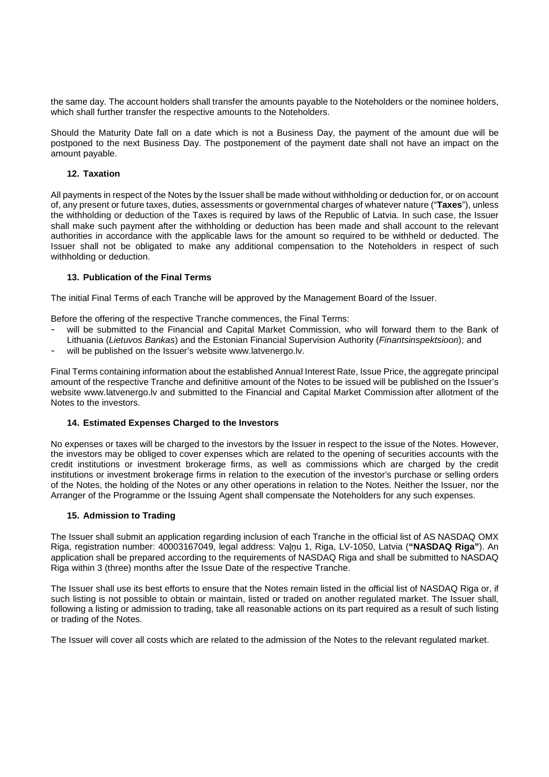the same day. The account holders shall transfer the amounts payable to the Noteholders or the nominee holders, which shall further transfer the respective amounts to the Noteholders.

Should the Maturity Date fall on a date which is not a Business Day, the payment of the amount due will be postponed to the next Business Day. The postponement of the payment date shall not have an impact on the amount payable.

### **12. Taxation**

All payments in respect of the Notes by the Issuer shall be made without withholding or deduction for, or on account of, any present or future taxes, duties, assessments or governmental charges of whatever nature ("**Taxes**"), unless the withholding or deduction of the Taxes is required by laws of the Republic of Latvia. In such case, the Issuer shall make such payment after the withholding or deduction has been made and shall account to the relevant authorities in accordance with the applicable laws for the amount so required to be withheld or deducted. The Issuer shall not be obligated to make any additional compensation to the Noteholders in respect of such withholding or deduction.

# **13. Publication of the Final Terms**

The initial Final Terms of each Tranche will be approved by the Management Board of the Issuer.

Before the offering of the respective Tranche commences, the Final Terms:

- will be submitted to the Financial and Capital Market Commission, who will forward them to the Bank of Lithuania (Lietuvos Bankas) and the Estonian Financial Supervision Authority (Finantsinspektsioon); and
- will be published on the Issuer's website www.latvenergo.lv.

Final Terms containing information about the established Annual Interest Rate, Issue Price, the aggregate principal amount of the respective Tranche and definitive amount of the Notes to be issued will be published on the Issuer's website www.latvenergo.lv and submitted to the Financial and Capital Market Commission after allotment of the Notes to the investors.

### **14. Estimated Expenses Charged to the Investors**

No expenses or taxes will be charged to the investors by the Issuer in respect to the issue of the Notes. However, the investors may be obliged to cover expenses which are related to the opening of securities accounts with the credit institutions or investment brokerage firms, as well as commissions which are charged by the credit institutions or investment brokerage firms in relation to the execution of the investor's purchase or selling orders of the Notes, the holding of the Notes or any other operations in relation to the Notes. Neither the Issuer, nor the Arranger of the Programme or the Issuing Agent shall compensate the Noteholders for any such expenses.

### **15. Admission to Trading**

The Issuer shall submit an application regarding inclusion of each Tranche in the official list of AS NASDAQ OMX Riga, registration number: 40003167049, legal address: Vaļņu 1, Riga, LV-1050, Latvia (**"NASDAQ Riga"**). An application shall be prepared according to the requirements of NASDAQ Riga and shall be submitted to NASDAQ Riga within 3 (three) months after the Issue Date of the respective Tranche.

The Issuer shall use its best efforts to ensure that the Notes remain listed in the official list of NASDAQ Riga or, if such listing is not possible to obtain or maintain, listed or traded on another regulated market. The Issuer shall, following a listing or admission to trading, take all reasonable actions on its part required as a result of such listing or trading of the Notes.

The Issuer will cover all costs which are related to the admission of the Notes to the relevant regulated market.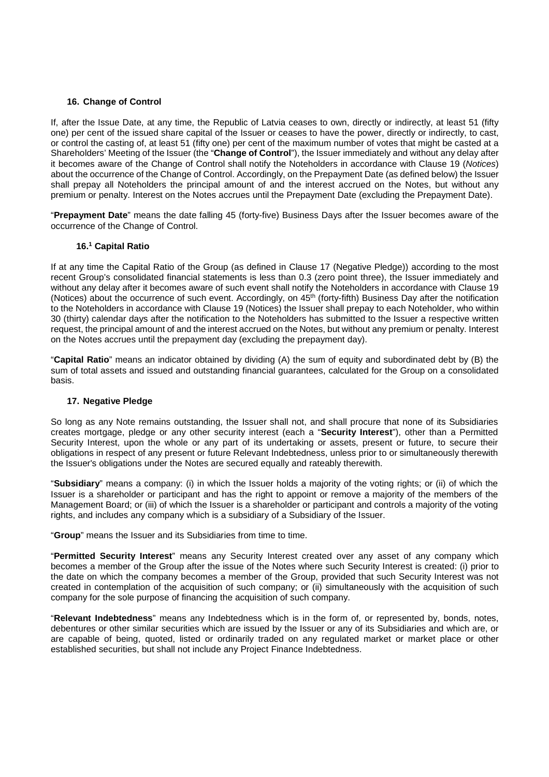### **16. Change of Control**

If, after the Issue Date, at any time, the Republic of Latvia ceases to own, directly or indirectly, at least 51 (fifty one) per cent of the issued share capital of the Issuer or ceases to have the power, directly or indirectly, to cast, or control the casting of, at least 51 (fifty one) per cent of the maximum number of votes that might be casted at a Shareholders' Meeting of the Issuer (the "**Change of Control**"), the Issuer immediately and without any delay after it becomes aware of the Change of Control shall notify the Noteholders in accordance with Clause 19 (Notices) about the occurrence of the Change of Control. Accordingly, on the Prepayment Date (as defined below) the Issuer shall prepay all Noteholders the principal amount of and the interest accrued on the Notes, but without any premium or penalty. Interest on the Notes accrues until the Prepayment Date (excluding the Prepayment Date).

"**Prepayment Date**" means the date falling 45 (forty-five) Business Days after the Issuer becomes aware of the occurrence of the Change of Control.

### **16.<sup>1</sup> Capital Ratio**

If at any time the Capital Ratio of the Group (as defined in Clause 17 (Negative Pledge)) according to the most recent Group's consolidated financial statements is less than 0.3 (zero point three), the Issuer immediately and without any delay after it becomes aware of such event shall notify the Noteholders in accordance with Clause 19 (Notices) about the occurrence of such event. Accordingly, on 45<sup>th</sup> (forty-fifth) Business Day after the notification to the Noteholders in accordance with Clause 19 (Notices) the Issuer shall prepay to each Noteholder, who within 30 (thirty) calendar days after the notification to the Noteholders has submitted to the Issuer a respective written request, the principal amount of and the interest accrued on the Notes, but without any premium or penalty. Interest on the Notes accrues until the prepayment day (excluding the prepayment day).

"**Capital Ratio**" means an indicator obtained by dividing (A) the sum of equity and subordinated debt by (B) the sum of total assets and issued and outstanding financial guarantees, calculated for the Group on a consolidated basis.

### **17. Negative Pledge**

So long as any Note remains outstanding, the Issuer shall not, and shall procure that none of its Subsidiaries creates mortgage, pledge or any other security interest (each a "**Security Interest**"), other than a Permitted Security Interest, upon the whole or any part of its undertaking or assets, present or future, to secure their obligations in respect of any present or future Relevant Indebtedness, unless prior to or simultaneously therewith the Issuer's obligations under the Notes are secured equally and rateably therewith.

"**Subsidiary**" means a company: (i) in which the Issuer holds a majority of the voting rights; or (ii) of which the Issuer is a shareholder or participant and has the right to appoint or remove a majority of the members of the Management Board; or (iii) of which the Issuer is a shareholder or participant and controls a majority of the voting rights, and includes any company which is a subsidiary of a Subsidiary of the Issuer.

"**Group**" means the Issuer and its Subsidiaries from time to time.

"**Permitted Security Interest**" means any Security Interest created over any asset of any company which becomes a member of the Group after the issue of the Notes where such Security Interest is created: (i) prior to the date on which the company becomes a member of the Group, provided that such Security Interest was not created in contemplation of the acquisition of such company; or (ii) simultaneously with the acquisition of such company for the sole purpose of financing the acquisition of such company.

"**Relevant Indebtedness**" means any Indebtedness which is in the form of, or represented by, bonds, notes, debentures or other similar securities which are issued by the Issuer or any of its Subsidiaries and which are, or are capable of being, quoted, listed or ordinarily traded on any regulated market or market place or other established securities, but shall not include any Project Finance Indebtedness.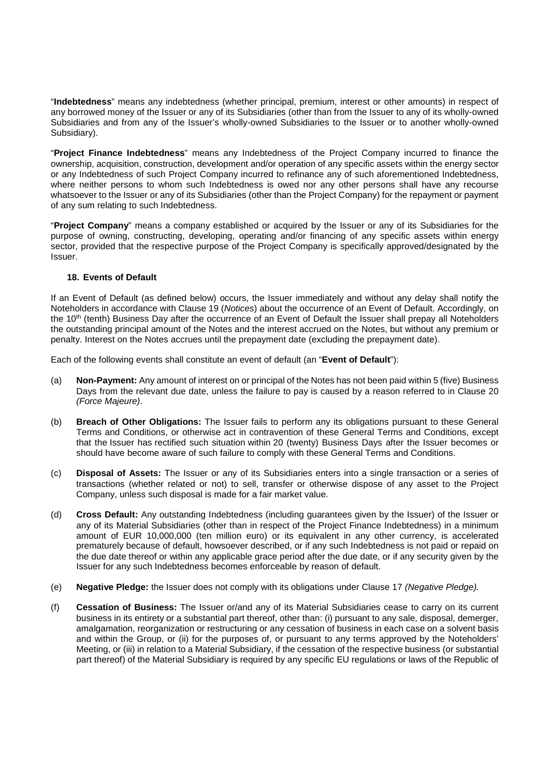"**Indebtedness**" means any indebtedness (whether principal, premium, interest or other amounts) in respect of any borrowed money of the Issuer or any of its Subsidiaries (other than from the Issuer to any of its wholly-owned Subsidiaries and from any of the Issuer's wholly-owned Subsidiaries to the Issuer or to another wholly-owned Subsidiary).

"**Project Finance Indebtedness**" means any Indebtedness of the Project Company incurred to finance the ownership, acquisition, construction, development and/or operation of any specific assets within the energy sector or any Indebtedness of such Project Company incurred to refinance any of such aforementioned Indebtedness, where neither persons to whom such Indebtedness is owed nor any other persons shall have any recourse whatsoever to the Issuer or any of its Subsidiaries (other than the Project Company) for the repayment or payment of any sum relating to such Indebtedness.

"**Project Company**" means a company established or acquired by the Issuer or any of its Subsidiaries for the purpose of owning, constructing, developing, operating and/or financing of any specific assets within energy sector, provided that the respective purpose of the Project Company is specifically approved/designated by the Issuer.

# **18. Events of Default**

If an Event of Default (as defined below) occurs, the Issuer immediately and without any delay shall notify the Noteholders in accordance with Clause 19 (Notices) about the occurrence of an Event of Default. Accordingly, on the 10<sup>th</sup> (tenth) Business Day after the occurrence of an Event of Default the Issuer shall prepay all Noteholders the outstanding principal amount of the Notes and the interest accrued on the Notes, but without any premium or penalty. Interest on the Notes accrues until the prepayment date (excluding the prepayment date).

Each of the following events shall constitute an event of default (an "**Event of Default**"):

- (a) **Non-Payment:** Any amount of interest on or principal of the Notes has not been paid within 5 (five) Business Days from the relevant due date, unless the failure to pay is caused by a reason referred to in Clause 20 (Force Majeure).
- (b) **Breach of Other Obligations:** The Issuer fails to perform any its obligations pursuant to these General Terms and Conditions, or otherwise act in contravention of these General Terms and Conditions, except that the Issuer has rectified such situation within 20 (twenty) Business Days after the Issuer becomes or should have become aware of such failure to comply with these General Terms and Conditions.
- (c) **Disposal of Assets:** The Issuer or any of its Subsidiaries enters into a single transaction or a series of transactions (whether related or not) to sell, transfer or otherwise dispose of any asset to the Project Company, unless such disposal is made for a fair market value.
- (d) **Cross Default:** Any outstanding Indebtedness (including guarantees given by the Issuer) of the Issuer or any of its Material Subsidiaries (other than in respect of the Project Finance Indebtedness) in a minimum amount of EUR 10,000,000 (ten million euro) or its equivalent in any other currency, is accelerated prematurely because of default, howsoever described, or if any such Indebtedness is not paid or repaid on the due date thereof or within any applicable grace period after the due date, or if any security given by the Issuer for any such Indebtedness becomes enforceable by reason of default.
- (e) **Negative Pledge:** the Issuer does not comply with its obligations under Clause 17 (Negative Pledge).
- (f) **Cessation of Business:** The Issuer or/and any of its Material Subsidiaries cease to carry on its current business in its entirety or a substantial part thereof, other than: (i) pursuant to any sale, disposal, demerger, amalgamation, reorganization or restructuring or any cessation of business in each case on a solvent basis and within the Group, or (ii) for the purposes of, or pursuant to any terms approved by the Noteholders' Meeting, or (iii) in relation to a Material Subsidiary, if the cessation of the respective business (or substantial part thereof) of the Material Subsidiary is required by any specific EU regulations or laws of the Republic of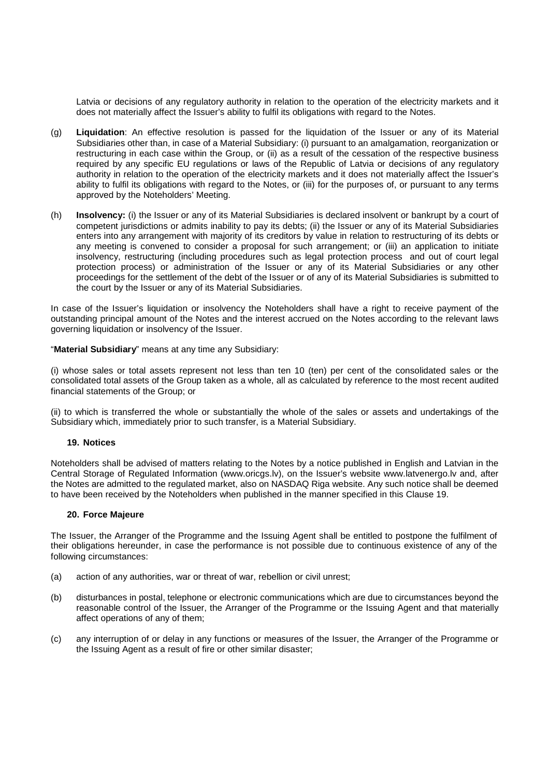Latvia or decisions of any regulatory authority in relation to the operation of the electricity markets and it does not materially affect the Issuer's ability to fulfil its obligations with regard to the Notes.

- (g) **Liquidation**: An effective resolution is passed for the liquidation of the Issuer or any of its Material Subsidiaries other than, in case of a Material Subsidiary: (i) pursuant to an amalgamation, reorganization or restructuring in each case within the Group, or (ii) as a result of the cessation of the respective business required by any specific EU regulations or laws of the Republic of Latvia or decisions of any regulatory authority in relation to the operation of the electricity markets and it does not materially affect the Issuer's ability to fulfil its obligations with regard to the Notes, or (iii) for the purposes of, or pursuant to any terms approved by the Noteholders' Meeting.
- (h) **Insolvency:** (i) the Issuer or any of its Material Subsidiaries is declared insolvent or bankrupt by a court of competent jurisdictions or admits inability to pay its debts; (ii) the Issuer or any of its Material Subsidiaries enters into any arrangement with majority of its creditors by value in relation to restructuring of its debts or any meeting is convened to consider a proposal for such arrangement; or (iii) an application to initiate insolvency, restructuring (including procedures such as legal protection process and out of court legal protection process) or administration of the Issuer or any of its Material Subsidiaries or any other proceedings for the settlement of the debt of the Issuer or of any of its Material Subsidiaries is submitted to the court by the Issuer or any of its Material Subsidiaries.

In case of the Issuer's liquidation or insolvency the Noteholders shall have a right to receive payment of the outstanding principal amount of the Notes and the interest accrued on the Notes according to the relevant laws governing liquidation or insolvency of the Issuer.

"**Material Subsidiary**" means at any time any Subsidiary:

(i) whose sales or total assets represent not less than ten 10 (ten) per cent of the consolidated sales or the consolidated total assets of the Group taken as a whole, all as calculated by reference to the most recent audited financial statements of the Group; or

(ii) to which is transferred the whole or substantially the whole of the sales or assets and undertakings of the Subsidiary which, immediately prior to such transfer, is a Material Subsidiary.

### **19. Notices**

Noteholders shall be advised of matters relating to the Notes by a notice published in English and Latvian in the Central Storage of Regulated Information (www.oricgs.lv), on the Issuer's website www.latvenergo.lv and, after the Notes are admitted to the regulated market, also on NASDAQ Riga website. Any such notice shall be deemed to have been received by the Noteholders when published in the manner specified in this Clause 19.

### **20. Force Majeure**

The Issuer, the Arranger of the Programme and the Issuing Agent shall be entitled to postpone the fulfilment of their obligations hereunder, in case the performance is not possible due to continuous existence of any of the following circumstances:

- (a) action of any authorities, war or threat of war, rebellion or civil unrest;
- (b) disturbances in postal, telephone or electronic communications which are due to circumstances beyond the reasonable control of the Issuer, the Arranger of the Programme or the Issuing Agent and that materially affect operations of any of them;
- (c) any interruption of or delay in any functions or measures of the Issuer, the Arranger of the Programme or the Issuing Agent as a result of fire or other similar disaster;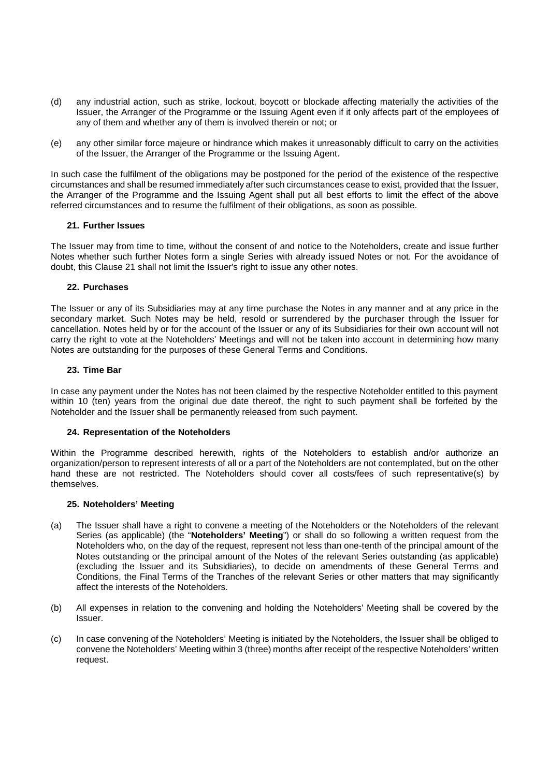- (d) any industrial action, such as strike, lockout, boycott or blockade affecting materially the activities of the Issuer, the Arranger of the Programme or the Issuing Agent even if it only affects part of the employees of any of them and whether any of them is involved therein or not; or
- (e) any other similar force majeure or hindrance which makes it unreasonably difficult to carry on the activities of the Issuer, the Arranger of the Programme or the Issuing Agent.

In such case the fulfilment of the obligations may be postponed for the period of the existence of the respective circumstances and shall be resumed immediately after such circumstances cease to exist, provided that the Issuer, the Arranger of the Programme and the Issuing Agent shall put all best efforts to limit the effect of the above referred circumstances and to resume the fulfilment of their obligations, as soon as possible.

### **21. Further Issues**

The Issuer may from time to time, without the consent of and notice to the Noteholders, create and issue further Notes whether such further Notes form a single Series with already issued Notes or not. For the avoidance of doubt, this Clause 21 shall not limit the Issuer's right to issue any other notes.

# **22. Purchases**

The Issuer or any of its Subsidiaries may at any time purchase the Notes in any manner and at any price in the secondary market. Such Notes may be held, resold or surrendered by the purchaser through the Issuer for cancellation. Notes held by or for the account of the Issuer or any of its Subsidiaries for their own account will not carry the right to vote at the Noteholders' Meetings and will not be taken into account in determining how many Notes are outstanding for the purposes of these General Terms and Conditions.

# **23. Time Bar**

In case any payment under the Notes has not been claimed by the respective Noteholder entitled to this payment within 10 (ten) years from the original due date thereof, the right to such payment shall be forfeited by the Noteholder and the Issuer shall be permanently released from such payment.

### **24. Representation of the Noteholders**

Within the Programme described herewith, rights of the Noteholders to establish and/or authorize an organization/person to represent interests of all or a part of the Noteholders are not contemplated, but on the other hand these are not restricted. The Noteholders should cover all costs/fees of such representative(s) by themselves.

### **25. Noteholders' Meeting**

- (a) The Issuer shall have a right to convene a meeting of the Noteholders or the Noteholders of the relevant Series (as applicable) (the "**Noteholders' Meeting**") or shall do so following a written request from the Noteholders who, on the day of the request, represent not less than one-tenth of the principal amount of the Notes outstanding or the principal amount of the Notes of the relevant Series outstanding (as applicable) (excluding the Issuer and its Subsidiaries), to decide on amendments of these General Terms and Conditions, the Final Terms of the Tranches of the relevant Series or other matters that may significantly affect the interests of the Noteholders.
- (b) All expenses in relation to the convening and holding the Noteholders' Meeting shall be covered by the Issuer.
- (c) In case convening of the Noteholders' Meeting is initiated by the Noteholders, the Issuer shall be obliged to convene the Noteholders' Meeting within 3 (three) months after receipt of the respective Noteholders' written request.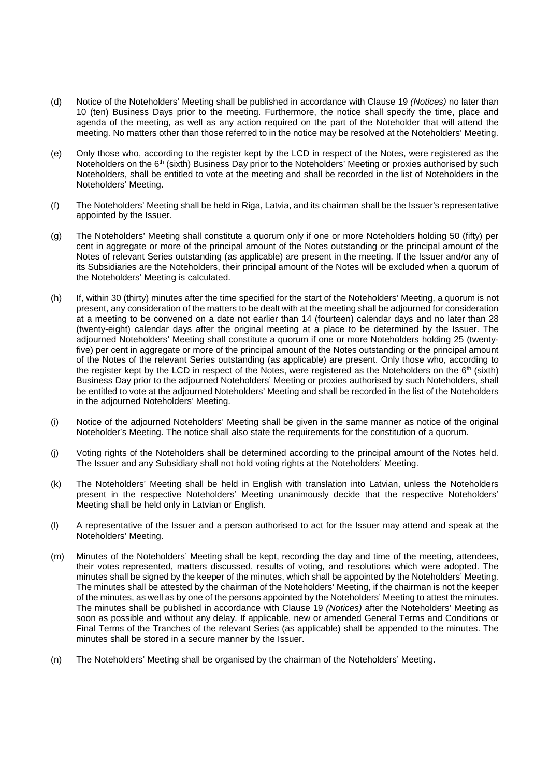- (d) Notice of the Noteholders' Meeting shall be published in accordance with Clause 19 (Notices) no later than 10 (ten) Business Days prior to the meeting. Furthermore, the notice shall specify the time, place and agenda of the meeting, as well as any action required on the part of the Noteholder that will attend the meeting. No matters other than those referred to in the notice may be resolved at the Noteholders' Meeting.
- (e) Only those who, according to the register kept by the LCD in respect of the Notes, were registered as the Noteholders on the 6<sup>th</sup> (sixth) Business Day prior to the Noteholders' Meeting or proxies authorised by such Noteholders, shall be entitled to vote at the meeting and shall be recorded in the list of Noteholders in the Noteholders' Meeting.
- (f) The Noteholders' Meeting shall be held in Riga, Latvia, and its chairman shall be the Issuer's representative appointed by the Issuer.
- (g) The Noteholders' Meeting shall constitute a quorum only if one or more Noteholders holding 50 (fifty) per cent in aggregate or more of the principal amount of the Notes outstanding or the principal amount of the Notes of relevant Series outstanding (as applicable) are present in the meeting. If the Issuer and/or any of its Subsidiaries are the Noteholders, their principal amount of the Notes will be excluded when a quorum of the Noteholders' Meeting is calculated.
- (h) If, within 30 (thirty) minutes after the time specified for the start of the Noteholders' Meeting, a quorum is not present, any consideration of the matters to be dealt with at the meeting shall be adjourned for consideration at a meeting to be convened on a date not earlier than 14 (fourteen) calendar days and no later than 28 (twenty-eight) calendar days after the original meeting at a place to be determined by the Issuer. The adjourned Noteholders' Meeting shall constitute a quorum if one or more Noteholders holding 25 (twentyfive) per cent in aggregate or more of the principal amount of the Notes outstanding or the principal amount of the Notes of the relevant Series outstanding (as applicable) are present. Only those who, according to the register kept by the LCD in respect of the Notes, were registered as the Noteholders on the  $6<sup>th</sup>$  (sixth) Business Day prior to the adjourned Noteholders' Meeting or proxies authorised by such Noteholders, shall be entitled to vote at the adjourned Noteholders' Meeting and shall be recorded in the list of the Noteholders in the adjourned Noteholders' Meeting.
- (i) Notice of the adjourned Noteholders' Meeting shall be given in the same manner as notice of the original Noteholder's Meeting. The notice shall also state the requirements for the constitution of a quorum.
- (j) Voting rights of the Noteholders shall be determined according to the principal amount of the Notes held. The Issuer and any Subsidiary shall not hold voting rights at the Noteholders' Meeting.
- (k) The Noteholders' Meeting shall be held in English with translation into Latvian, unless the Noteholders present in the respective Noteholders' Meeting unanimously decide that the respective Noteholders' Meeting shall be held only in Latvian or English.
- (l) A representative of the Issuer and a person authorised to act for the Issuer may attend and speak at the Noteholders' Meeting.
- (m) Minutes of the Noteholders' Meeting shall be kept, recording the day and time of the meeting, attendees, their votes represented, matters discussed, results of voting, and resolutions which were adopted. The minutes shall be signed by the keeper of the minutes, which shall be appointed by the Noteholders' Meeting. The minutes shall be attested by the chairman of the Noteholders' Meeting, if the chairman is not the keeper of the minutes, as well as by one of the persons appointed by the Noteholders' Meeting to attest the minutes. The minutes shall be published in accordance with Clause 19 (Notices) after the Noteholders' Meeting as soon as possible and without any delay. If applicable, new or amended General Terms and Conditions or Final Terms of the Tranches of the relevant Series (as applicable) shall be appended to the minutes. The minutes shall be stored in a secure manner by the Issuer.
- (n) The Noteholders' Meeting shall be organised by the chairman of the Noteholders' Meeting.